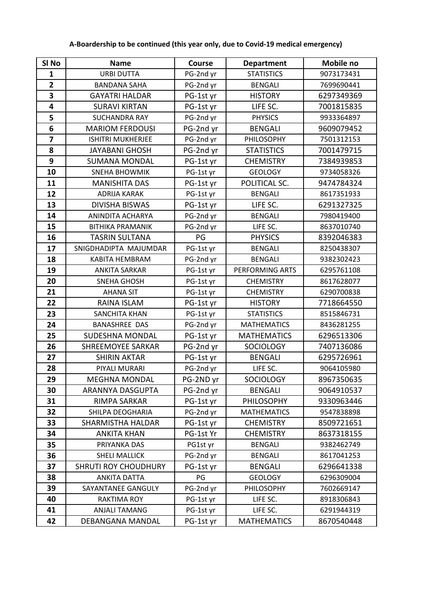| SI No                   | <b>Name</b>                 | <b>Course</b> | <b>Department</b>  | <b>Mobile no</b> |
|-------------------------|-----------------------------|---------------|--------------------|------------------|
| $\mathbf{1}$            | <b>URBI DUTTA</b>           | PG-2nd yr     | <b>STATISTICS</b>  | 9073173431       |
| $\overline{\mathbf{2}}$ | <b>BANDANA SAHA</b>         | PG-2nd yr     | <b>BENGALI</b>     | 7699690441       |
| $\overline{\mathbf{3}}$ | <b>GAYATRI HALDAR</b>       | PG-1st yr     | <b>HISTORY</b>     | 6297349369       |
| 4                       | <b>SURAVI KIRTAN</b>        | PG-1st yr     | LIFE SC.           | 7001815835       |
| 5                       | <b>SUCHANDRA RAY</b>        | PG-2nd yr     | <b>PHYSICS</b>     | 9933364897       |
| 6                       | <b>MARIOM FERDOUSI</b>      | PG-2nd yr     | <b>BENGALI</b>     | 9609079452       |
| $\overline{\mathbf{z}}$ | <b>ISHITRI MUKHERJEE</b>    | PG-2nd yr     | PHILOSOPHY         | 7501312153       |
| 8                       | <b>JAYABANI GHOSH</b>       | PG-2nd yr     | <b>STATISTICS</b>  | 7001479715       |
| 9                       | <b>SUMANA MONDAL</b>        | PG-1st yr     | <b>CHEMISTRY</b>   | 7384939853       |
| 10                      | <b>SNEHA BHOWMIK</b>        | PG-1st yr     | <b>GEOLOGY</b>     | 9734058326       |
| 11                      | <b>MANISHITA DAS</b>        | PG-1st yr     | POLITICAL SC.      | 9474784324       |
| 12                      | <b>ADRIJA KARAK</b>         | PG-1st yr     | <b>BENGALI</b>     | 8617351933       |
| 13                      | <b>DIVISHA BISWAS</b>       | PG-1st yr     | LIFE SC.           | 6291327325       |
| 14                      | ANINDITA ACHARYA            | PG-2nd yr     | <b>BENGALI</b>     | 7980419400       |
| 15                      | <b>BITHIKA PRAMANIK</b>     | PG-2nd yr     | LIFE SC.           | 8637010740       |
| 16                      | <b>TASRIN SULTANA</b>       | PG            | <b>PHYSICS</b>     | 8392046383       |
| 17                      | SNIGDHADIPTA MAJUMDAR       | PG-1st yr     | <b>BENGALI</b>     | 8250438307       |
| 18                      | KABITA HEMBRAM              | PG-2nd yr     | <b>BENGALI</b>     | 9382302423       |
| 19                      | <b>ANKITA SARKAR</b>        | PG-1st yr     | PERFORMING ARTS    | 6295761108       |
| 20                      | <b>SNEHA GHOSH</b>          | PG-1st yr     | <b>CHEMISTRY</b>   | 8617628077       |
| 21                      | <b>AHANA SIT</b>            | PG-1st yr     | <b>CHEMISTRY</b>   | 6290700838       |
| 22                      | RAINA ISLAM                 | PG-1st yr     | <b>HISTORY</b>     | 7718664550       |
| 23                      | <b>SANCHITA KHAN</b>        | PG-1st yr     | <b>STATISTICS</b>  | 8515846731       |
| 24                      | <b>BANASHREE DAS</b>        | PG-2nd yr     | <b>MATHEMATICS</b> | 8436281255       |
| 25                      | <b>SUDESHNA MONDAL</b>      | PG-1st yr     | <b>MATHEMATICS</b> | 6296513306       |
| 26                      | <b>SHREEMOYEE SARKAR</b>    | PG-2nd yr     | SOCIOLOGY          | 7407136086       |
| 27                      | <b>SHIRIN AKTAR</b>         | PG-1st yr     | <b>BENGALI</b>     | 6295726961       |
| 28                      | PIYALI MURARI               | PG-2nd yr     | LIFE SC.           | 9064105980       |
| 29                      | <b>MEGHNA MONDAL</b>        | PG-2ND yr     | <b>SOCIOLOGY</b>   | 8967350635       |
| 30                      | ARANNYA DASGUPTA            | PG-2nd yr     | <b>BENGALI</b>     | 9064910537       |
| 31                      | <b>RIMPA SARKAR</b>         | PG-1st yr     | <b>PHILOSOPHY</b>  | 9330963446       |
| 32                      | SHILPA DEOGHARIA            | PG-2nd yr     | <b>MATHEMATICS</b> | 9547838898       |
| 33                      | SHARMISTHA HALDAR           | PG-1st yr     | <b>CHEMISTRY</b>   | 8509721651       |
| 34                      | <b>ANKITA KHAN</b>          | PG-1st Yr     | <b>CHEMISTRY</b>   | 8637318155       |
| 35                      | PRIYANKA DAS                | PG1st yr      | <b>BENGALI</b>     | 9382462749       |
| 36                      | <b>SHELI MALLICK</b>        | PG-2nd yr     | <b>BENGALI</b>     | 8617041253       |
| 37                      | <b>SHRUTI ROY CHOUDHURY</b> | PG-1st yr     | <b>BENGALI</b>     | 6296641338       |
| 38                      | <b>ANKITA DATTA</b>         | PG            | <b>GEOLOGY</b>     | 6296309004       |
| 39                      | SAYANTANEE GANGULY          | PG-2nd yr     | PHILOSOPHY         | 7602669147       |
| 40                      | <b>RAKTIMA ROY</b>          | PG-1st yr     | LIFE SC.           | 8918306843       |
| 41                      | ANJALI TAMANG               | PG-1st yr     | LIFE SC.           | 6291944319       |
| 42                      | <b>DEBANGANA MANDAL</b>     | PG-1st yr     | <b>MATHEMATICS</b> | 8670540448       |

## **A-Boardership to be continued (this year only, due to Covid-19 medical emergency)**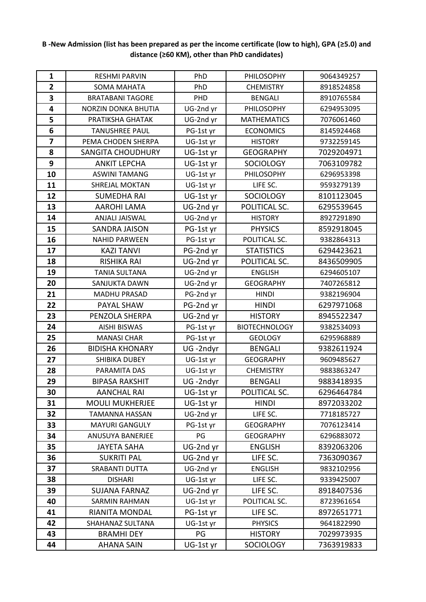| $\mathbf{1}$   | <b>RESHMI PARVIN</b>       | PhD       | PHILOSOPHY           | 9064349257 |
|----------------|----------------------------|-----------|----------------------|------------|
| $\overline{2}$ | <b>SOMA MAHATA</b>         | PhD       | <b>CHEMISTRY</b>     | 8918524858 |
| 3              | <b>BRATABANI TAGORE</b>    | PHD       | <b>BENGALI</b>       | 8910765584 |
| 4              | <b>NORZIN DONKA BHUTIA</b> | UG-2nd yr | PHILOSOPHY           | 6294953095 |
| 5              | PRATIKSHA GHATAK           | UG-2nd yr | <b>MATHEMATICS</b>   | 7076061460 |
| 6              | <b>TANUSHREE PAUL</b>      | PG-1st yr | <b>ECONOMICS</b>     | 8145924468 |
| 7              | PEMA CHODEN SHERPA         | UG-1st yr | <b>HISTORY</b>       | 9732259145 |
| 8              | <b>SANGITA CHOUDHURY</b>   | UG-1st yr | <b>GEOGRAPHY</b>     | 7029204971 |
| 9              | <b>ANKIT LEPCHA</b>        | UG-1st yr | <b>SOCIOLOGY</b>     | 7063109782 |
| 10             | <b>ASWINI TAMANG</b>       | UG-1st yr | PHILOSOPHY           | 6296953398 |
| 11             | SHREJAL MOKTAN             | UG-1st yr | LIFE SC.             | 9593279139 |
| 12             | <b>SUMEDHA RAI</b>         | UG-1st yr | <b>SOCIOLOGY</b>     | 8101123045 |
| 13             | <b>AAROHI LAMA</b>         | UG-2nd yr | POLITICAL SC.        | 6295539645 |
| 14             | <b>ANJALI JAISWAL</b>      | UG-2nd yr | <b>HISTORY</b>       | 8927291890 |
| 15             | <b>SANDRA JAISON</b>       | PG-1st yr | <b>PHYSICS</b>       | 8592918045 |
| 16             | <b>NAHID PARWEEN</b>       | PG-1st yr | POLITICAL SC.        | 9382864313 |
| 17             | <b>KAZI TANVI</b>          | PG-2nd yr | <b>STATISTICS</b>    | 6294423621 |
| 18             | <b>RISHIKA RAI</b>         | UG-2nd yr | POLITICAL SC.        | 8436509905 |
| 19             | <b>TANIA SULTANA</b>       | UG-2nd yr | <b>ENGLISH</b>       | 6294605107 |
| 20             | SANJUKTA DAWN              | UG-2nd yr | <b>GEOGRAPHY</b>     | 7407265812 |
| 21             | <b>MADHU PRASAD</b>        | PG-2nd yr | <b>HINDI</b>         | 9382196904 |
| 22             | PAYAL SHAW                 | PG-2nd yr | <b>HINDI</b>         | 6297971068 |
| 23             | PENZOLA SHERPA             | UG-2nd yr | <b>HISTORY</b>       | 8945522347 |
| 24             | <b>AISHI BISWAS</b>        | PG-1st yr | <b>BIOTECHNOLOGY</b> | 9382534093 |
| 25             | <b>MANASI CHAR</b>         | PG-1st yr | <b>GEOLOGY</b>       | 6295968889 |
| 26             | <b>BIDISHA KHONARY</b>     | UG-2ndyr  | <b>BENGALI</b>       | 9382611924 |
| 27             | <b>SHIBIKA DUBEY</b>       | UG-1st yr | <b>GEOGRAPHY</b>     | 9609485627 |
| 28             | PARAMITA DAS               | UG-1st yr | <b>CHEMISTRY</b>     | 9883863247 |
| 29             | <b>BIPASA RAKSHIT</b>      | UG-2ndyr  | <b>BENGALI</b>       | 9883418935 |
| 30             | <b>AANCHAL RAI</b>         | UG-1st yr | POLITICAL SC.        | 6296464784 |
| 31             | <b>MOULI MUKHERJEE</b>     | UG-1st yr | <b>HINDI</b>         | 8972033202 |
| 32             | TAMANNA HASSAN             | UG-2nd yr | LIFE SC.             | 7718185727 |
| 33             | <b>MAYURI GANGULY</b>      | PG-1st yr | <b>GEOGRAPHY</b>     | 7076123414 |
| 34             | ANUSUYA BANERJEE           | PG        | <b>GEOGRAPHY</b>     | 6296883072 |
| 35             | <b>JAYETA SAHA</b>         | UG-2nd yr | <b>ENGLISH</b>       | 8392063206 |
| 36             | <b>SUKRITI PAL</b>         | UG-2nd yr | LIFE SC.             | 7363090367 |
| 37             | SRABANTI DUTTA             | UG-2nd yr | <b>ENGLISH</b>       | 9832102956 |
| 38             | <b>DISHARI</b>             | UG-1st yr | LIFE SC.             | 9339425007 |
| 39             | <b>SUJANA FARNAZ</b>       | UG-2nd yr | LIFE SC.             | 8918407536 |
| 40             | SARMIN RAHMAN              | UG-1st yr | POLITICAL SC.        | 8723961654 |
| 41             | RIANITA MONDAL             | PG-1st yr | LIFE SC.             | 8972651771 |
| 42             | SHAHANAZ SULTANA           | UG-1st yr | <b>PHYSICS</b>       | 9641822990 |
| 43             | <b>BRAMHI DEY</b>          | PG        | <b>HISTORY</b>       | 7029973935 |
| 44             | <b>AHANA SAIN</b>          | UG-1st yr | <b>SOCIOLOGY</b>     | 7363919833 |

## **B -New Admission (list has been prepared as per the income certificate (low to high), GPA (≥5.0) and distance (≥60 KM), other than PhD candidates)**